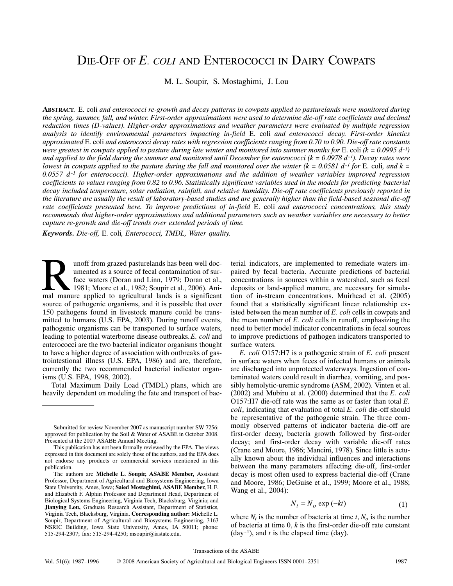# DIE‐OFF OF *E. COLI* AND ENTEROCOCCI IN DAIRY COWPATS

M. L. Soupir, S. Mostaghimi, J. Lou

**ABSTRACT.** E. coli *and enterococci re‐growth and decay patterns in cowpats applied to pasturelands were monitored during the spring, summer, fall, and winter. First‐order approximations were used to determine die‐off rate coefficients and decimal reduction times (D‐values). Higher‐order approximations and weather parameters were evaluated by multiple regression analysis to identify environmental parameters impacting in‐field* E. coli *and enterococci decay. First‐order kinetics approximated* E. coli *and enterococci decay rates with regression coefficients ranging from 0.70 to 0.90. Die‐off rate constants were greatest in cowpats applied to pasture during late winter and monitored into summer months for E. coli*  $(k = 0.0995 d^{-1})$ *and applied to the field during the summer and monitored until December for enterococci (k = 0.0978 d-1). Decay rates were lowest in cowpats applied to the pasture during the fall and monitored over the winter*  $(k = 0.0581 d^{-1}$  *for* E. coli, and  $k =$ *0.0557 d-1 for enterococci). Higher‐order approximations and the addition of weather variables improved regression coefficients to values ranging from 0.82 to 0.96. Statistically significant variables used in the models for predicting bacterial decay included temperature, solar radiation, rainfall, and relative humidity. Die‐off rate coefficients previously reported in the literature are usually the result of laboratory‐based studies and are generally higher than the field‐based seasonal die‐off rate coefficients presented here. To improve predictions of in‐field* E. coli *and enterococci concentrations, this study recommends that higher‐order approximations and additional parameters such as weather variables are necessary to better capture re‐growth and die‐off trends over extended periods of time.*

*Keywords. Die‐off,* E. coli*, Enterococci, TMDL, Water quality.*

unoff from grazed pasturelands has been well doc‐ umented as a source of fecal contamination of surface waters (Doran and Linn, 1979; Doran et al., 1981; Moore et al., 1982; Soupir et al., 2006). Ani‐ unoff from grazed pasturelands has been well documented as a source of fecal contamination of surface waters (Doran and Linn, 1979; Doran et al., 1981; Moore et al., 1982; Soupir et al., 2006). Animal manure applied to agr source of pathogenic organisms, and it is possible that over 150 pathogens found in livestock manure could be trans‐ mitted to humans (U.S. EPA, 2003). During runoff events, pathogenic organisms can be transported to surface waters, leading to potential waterborne disease outbreaks. *E. coli* and enterococci are the two bacterial indicator organisms thought to have a higher degree of association with outbreaks of gastrointestional illness (U.S. EPA, 1986) and are, therefore, currently the two recommended bacterial indicator organ‐ isms (U.S. EPA, 1998, 2002).

Total Maximum Daily Load (TMDL) plans, which are heavily dependent on modeling the fate and transport of bac-

terial indicators, are implemented to remediate waters im‐ paired by fecal bacteria. Accurate predictions of bacterial concentrations in sources within a watershed, such as fecal deposits or land‐applied manure, are necessary for simula‐ tion of in‐stream concentrations. Muirhead et al. (2005) found that a statistically significant linear relationship existed between the mean number of *E. coli* cells in cowpats and the mean number of *E. coli* cells in runoff, emphasizing the need to better model indicator concentrations in fecal sources to improve predictions of pathogen indicators transported to surface waters.

*E. coli* O157:H7 is a pathogenic strain of *E. coli* present in surface waters when feces of infected humans or animals are discharged into unprotected waterways. Ingestion of con‐ taminated waters could result in diarrhea, vomiting, and pos‐ sibly hemolytic-uremic syndrome (ASM, 2002). Vinten et al. (2002) and Mubiru et al. (2000) determined that the *E. coli* O157:H7 die‐off rate was the same as or faster than total *E. coli*, indicating that evaluation of total *E. coli* die‐off should be representative of the pathogenic strain. The three commonly observed patterns of indicator bacteria die‐off are first‐order decay, bacteria growth followed by first‐order decay; and first‐order decay with variable die‐off rates (Crane and Moore, 1986; Mancini, 1978). Since little is actu‐ ally known about the individual influences and interactions between the many parameters affecting die‐off, first‐order decay is most often used to express bacterial die‐off (Crane and Moore, 1986; DeGuise et al., 1999; Moore et al., 1988; Wang et al., 2004):

$$
N_t = N_o \exp(-kt) \tag{1}
$$

where  $N_t$  is the number of bacteria at time  $t$ ,  $N_o$  is the number of bacteria at time  $0, k$  is the first-order die-off rate constant  $(\text{day}^{-1})$ , and *t* is the elapsed time  $(\text{day})$ .

Submitted for review November 2007 as manuscript number SW 7256; approved for publication by the Soil & Water of ASABE in October 2008. Presented at the 2007 ASABE Annual Meeting.

This publication has not been formally reviewed by the EPA. The views expressed in this document are solely those of the authors, and the EPA does not endorse any products or commercial services mentioned in this publication.

The authors are **Michelle L. Soupir, ASABE Member,** Assistant Professor, Department of Agricultural and Biosystems Engineering, Iowa State University, Ames, Iowa; **Saied Mostaghimi, ASABE Member,** H. E. and Elizabeth F. Alphin Professor and Department Head, Department of Biological Systems Engineering, Virginia Tech, Blacksburg, Virginia; and **Jianying Lou,** Graduate Research Assistant, Department of Statistics, Virginia Tech, Blacksburg, Virginia. **Corresponding author:** Michelle L. Soupir, Department of Agricultural and Biosystems Engineering, 3163 NSRIC Building, Iowa State University, Ames, IA 50011; phone: 515‐294‐2307; fax: 515‐294‐4250; msoupir@iastate.edu.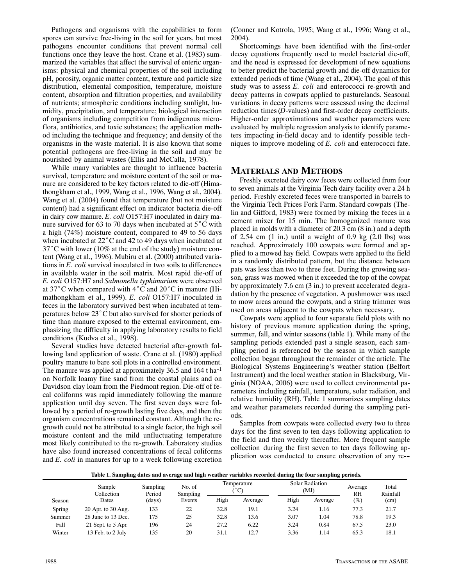Pathogens and organisms with the capabilities to form spores can survive free‐living in the soil for years, but most pathogens encounter conditions that prevent normal cell functions once they leave the host. Crane et al. (1983) summarized the variables that affect the survival of enteric organ– isms: physical and chemical properties of the soil including pH, porosity, organic matter content, texture and particle size distribution, elemental composition, temperature, moisture content, absorption and filtration properties, and availability of nutrients; atmospheric conditions including sunlight, hu‐ midity, precipitation, and temperature; biological interaction of organisms including competition from indigenous micro‐ flora, antibiotics, and toxic substances; the application method including the technique and frequency; and density of the organisms in the waste material. It is also known that some potential pathogens are free‐living in the soil and may be nourished by animal wastes (Ellis and McCalla, 1978).

While many variables are thought to influence bacteria survival, temperature and moisture content of the soil or manure are considered to be key factors related to die‐off (Hima‐ thongkham et al., 1999, Wang et al., 1996, Wang et al., 2004). Wang et al. (2004) found that temperature (but not moisture content) had a significant effect on indicator bacteria die‐off in dairy cow manure. *E. coli* O157:H7 inoculated in dairy manure survived for 63 to 70 days when incubated at 5°C with a high (74%) moisture content, compared to 49 to 56 days when incubated at 22°C and 42 to 49 days when incubated at 37°C with lower (10% at the end of the study) moisture con‐ tent (Wang et al., 1996). Mubiru et al. (2000) attributed varia‐ tions in *E. coli* survival inoculated in two soils to differences in available water in the soil matrix. Most rapid die‐off of *E.coli* O157:H7 and *Salmonella typhimurium* were observed at 37°C when compared with 4°C and 20°C in manure (Hi‐ mathongkham et al., 1999). *E. coli* O157:H7 inoculated in feces in the laboratory survived best when incubated at tem‐ peratures below 23°C but also survived for shorter periods of time than manure exposed to the external environment, emphasizing the difficulty in applying laboratory results to field conditions (Kudva et al., 1998).

Several studies have detected bacterial after‐growth fol‐ lowing land application of waste. Crane et al. (1980) applied poultry manure to bare soil plots in a controlled environment. The manure was applied at approximately 36.5 and 164 t ha-1 on Norfolk loamy fine sand from the coastal plains and on Davidson clay loam from the Piedmont region. Die‐off of fe‐ cal coliforms was rapid immediately following the manure application until day seven. The first seven days were fol‐ lowed by a period of re‐growth lasting five days, and then the organism concentrations remained constant. Although the re‐ growth could not be attributed to a single factor, the high soil moisture content and the mild unfluctuating temperature most likely contributed to the re‐growth. Laboratory studies have also found increased concentrations of fecal coliforms and *E. coli* in manures for up to a week following excretion

(Conner and Kotrola, 1995; Wang et al., 1996; Wang et al., 2004).

Shortcomings have been identified with the first‐order decay equations frequently used to model bacterial die‐off, and the need is expressed for development of new equations to better predict the bacterial growth and die‐off dynamics for extended periods of time (Wang et al., 2004). The goal of this study was to assess *E. coli* and enterococci re-growth and decay patterns in cowpats applied to pasturelands. Seasonal variations in decay patterns were assessed using the decimal reduction times (*D*-values) and first-order decay coefficients. Higher-order approximations and weather parameters were evaluated by multiple regression analysis to identify parame‐ ters impacting in‐field decay and to identify possible tech‐ niques to improve modeling of *E. coli* and enterococci fate.

# **MATERIALS AND METHODS**

Freshly excreted dairy cow feces were collected from four to seven animals at the Virginia Tech dairy facility over a 24h period. Freshly excreted feces were transported in barrels to the Virginia Tech Prices Fork Farm. Standard cowpats (The‐ lin and Gifford, 1983) were formed by mixing the feces in a cement mixer for 15 min. The homogenized manure was placed in molds with a diameter of 20.3 cm (8 in.) and a depth of 2.54 cm  $(1 \text{ in.})$  until a weight of 0.9 kg  $(2.0 \text{ lbs})$  was reached. Approximately 100 cowpats were formed and applied to a mowed hay field. Cowpats were applied to the field in a randomly distributed pattern, but the distance between pats was less than two to three feet. During the growing season, grass was mowed when it exceeded the top of the cowpat by approximately 7.6 cm (3 in.) to prevent accelerated degradation by the presence of vegetation. A pushmower was used to mow areas around the cowpats, and a string trimmer was used on areas adjacent to the cowpats when necessary.

Cowpats were applied to four separate field plots with no history of previous manure application during the spring, summer, fall, and winter seasons (table 1). While many of the sampling periods extended past a single season, each sampling period is referenced by the season in which sample collection began throughout the remainder of the article. The Biological Systems Engineering's weather station (Belfort Instrument) and the local weather station in Blacksburg, Vir‐ ginia (NOAA, 2006) were used to collect environmental pa‐ rameters including rainfall, temperature, solar radiation, and relative humidity (RH). Table 1 summarizes sampling dates and weather parameters recorded during the sampling peri‐ ods.

Samples from cowpats were collected every two to three days for the first seven to ten days following application to the field and then weekly thereafter. More frequent sample collection during the first seven to ten days following application was conducted to ensure observation of any re‐-

**Table 1. Sampling dates and average and high weather variables recorded during the four sampling periods.**

|               | Sample<br>Collection | Sampling<br>Period | No. of<br>Sampling |      | Temperature<br>$\rm ^{\circ}C$ | <b>Solar Radiation</b><br>(MJ) |         | Average<br><b>RH</b> | Total<br>Rainfall |
|---------------|----------------------|--------------------|--------------------|------|--------------------------------|--------------------------------|---------|----------------------|-------------------|
| Season        | Dates                | (days)             | Events             | High | Average                        | High                           | Average | (%)                  | (cm)              |
| <b>Spring</b> | 20 Apr. to 30 Aug.   | 133                | 22                 | 32.8 | 19.1                           | 3.24                           | 1.16    | 77.3                 | 21.7              |
| Summer        | 28 June to 13 Dec.   | 175                | 25                 | 32.8 | 13.6                           | 3.07                           | 1.04    | 78.8                 | 19.3              |
| Fall          | 21 Sept. to 5 Apr.   | 196                | 24                 | 27.2 | 6.22                           | 3.24                           | 0.84    | 67.5                 | 23.0              |
| Winter        | 13 Feb. to 2 July    | 135                | 20                 | 31.1 | 12.7                           | 3.36                           | 1.14    | 65.3                 | 18.1              |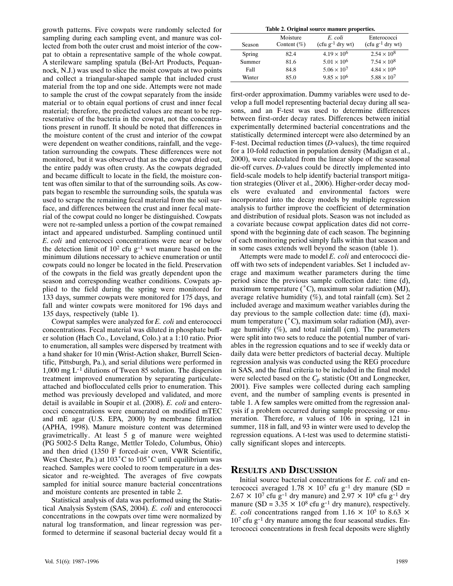growth patterns. Five cowpats were randomly selected for sampling during each sampling event, and manure was collected from both the outer crust and moist interior of the cow‐ pat to obtain a representative sample of the whole cowpat. Asterileware sampling spatula (Bel‐Art Products, Pequan‐ nock, N.J.) was used to slice the moist cowpats at two points and collect a triangular‐shaped sample that included crust material from the top and one side. Attempts were not made to sample the crust of the cowpat separately from the inside material or to obtain equal portions of crust and inner fecal material; therefore, the predicted values are meant to be rep resentative of the bacteria in the cowpat, not the concentrations present in runoff. It should be noted that differences in the moisture content of the crust and interior of the cowpat were dependent on weather conditions, rainfall, and the vegetation surrounding the cowpats. These differences were not monitored, but it was observed that as the cowpat dried out, the entire paddy was often crusty. As the cowpats degraded and became difficult to locate in the field, the moisture content was often similar to that of the surrounding soils. As cow‐ pats began to resemble the surrounding soils, the spatula was used to scrape the remaining fecal material from the soil surface, and differences between the crust and inner fecal material of the cowpat could no longer be distinguished. Cowpats were not re-sampled unless a portion of the cowpat remained intact and appeared undisturbed. Sampling continued until *E.coli* and enterococci concentrations were near or below the detection limit of  $10^2$  cfu g<sup>-1</sup> wet manure based on the minimum dilutions necessary to achieve enumeration or until cowpats could no longer be located in the field. Preservation of the cowpats in the field was greatly dependent upon the season and corresponding weather conditions. Cowpats applied to the field during the spring were monitored for 133days, summer cowpats were monitored for 175 days, and fall and winter cowpats were monitored for 196 days and 135days, respectively (table 1).

Cowpat samples were analyzed for *E. coli* and enterococci concentrations. Fecal material was diluted in phosphate buff‐ er solution (Hach Co., Loveland, Colo.) at a 1:10 ratio. Prior to enumeration, all samples were dispersed by treatment with a hand shaker for 10 min (Wrist‐Action shaker, Burrell Scien‐ tific, Pittsburgh, Pa.), and serial dilutions were performed in 1,000 mg L-1 dilutions of Tween 85 solution. The dispersion treatment improved enumeration by separating particulate‐ attached and bioflocculated cells prior to enumeration. This method was previously developed and validated, and more detail is available in Soupir et al. (2008). *E. coli* and entero‐ cocci concentrations were enumerated on modified mTEC and mE agar (U.S. EPA, 2000) by membrane filtration (APHA, 1998). Manure moisture content was determined gravimetrically. At least 5 g of manure were weighted (PG5002‐5 Delta Range, Mettler Toledo, Columbus, Ohio) and then dried (1350 F forced‐air oven, VWR Scientific, West Chester, Pa.) at  $103^{\circ}$ C to  $105^{\circ}$ C until equilibrium was reached. Samples were cooled to room temperature in a des‐ sicator and re‐weighted. The averages of five cowpats sampled for initial source manure bacterial concentrations and moisture contents are presented in table 2.

Statistical analysis of data was performed using the Statis‐ tical Analysis System (SAS, 2004). *E. coli* and enterococci concentrations in the cowpats over time were normalized by natural log transformation, and linear regression was per‐ formed to determine if seasonal bacterial decay would fit a

| Table 2. Original source manure properties. |  |  |
|---------------------------------------------|--|--|
|---------------------------------------------|--|--|

| Season | Moisture<br>Content $(\% )$ | E. coli<br>$(cfu g-1 dry wt)$ | Enterococci<br>$(cfu g-1 dry wt)$ |  |  |  |  |  |  |  |
|--------|-----------------------------|-------------------------------|-----------------------------------|--|--|--|--|--|--|--|
| Spring | 82.4                        | $4.19 \times 10^{6}$          | $2.54 \times 10^{8}$              |  |  |  |  |  |  |  |
| Summer | 81.6                        | $5.01 \times 10^{6}$          | $7.54 \times 10^8$                |  |  |  |  |  |  |  |
| Fall   | 84.8                        | $5.06 \times 10^{7}$          | $4.84 \times 10^{6}$              |  |  |  |  |  |  |  |
| Winter | 85.0                        | $9.85 \times 10^{6}$          | $5.88 \times 10^{7}$              |  |  |  |  |  |  |  |

first-order approximation. Dummy variables were used to develop a full model representing bacterial decay during all sea‐ sons, and an F-test was used to determine differences between first‐order decay rates. Differences between initial experimentally determined bacterial concentrations and the statistically determined intercept were also determined by an F-test. Decimal reduction times (*D*-values), the time required for a 10‐fold reduction in population density (Madigan et al., 2000), were calculated from the linear slope of the seasonal die‐off curves. *D*‐values could be directly implemented into field-scale models to help identify bacterial transport mitigation strategies (Oliver et al., 2006). Higher-order decay models were evaluated and environmental factors were incorporated into the decay models by multiple regression analysis to further improve the coefficient of determination and distribution of residual plots. Season was not included as a covariate because cowpat application dates did not corre‐ spond with the beginning date of each season. The beginning of each monitoring period simply falls within that season and in some cases extends well beyond the season (table 1).

Attempts were made to model *E. coli* and enterococci die‐ off with two sets of independent variables. Set 1 included av‐ erage and maximum weather parameters during the time period since the previous sample collection date: time (d), maximum temperature (°C), maximum solar radiation (MJ), average relative humidity  $(\%)$ , and total rainfall (cm). Set 2 included average and maximum weather variables during the day previous to the sample collection date: time (d), maximum temperature (°C), maximum solar radiation (MJ), average humidity  $(\%)$ , and total rainfall (cm). The parameters were split into two sets to reduce the potential number of variables in the regression equations and to see if weekly data or daily data were better predictors of bacterial decay. Multiple regression analysis was conducted using the REG procedure in SAS, and the final criteria to be included in the final model were selected based on the  $C_p$  statistic (Ott and Longnecker, 2001). Five samples were collected during each sampling event, and the number of sampling events is presented in table 1. A few samples were omitted from the regression anal‐ ysis if a problem occurred during sample processing or enumeration. Therefore, *n* values of 106 in spring, 121 in summer, 118 in fall, and 93 in winter were used to develop the regression equations. A t-test was used to determine statistically significant slopes and intercepts.

### **RESULTS AND DISCUSSION**

Initial source bacterial concentrations for *E. coli* and en‐ terococci averaged 1.78  $\times$  10<sup>7</sup> cfu g<sup>-1</sup> dry manure (SD =  $2.67 \times 10^7$  cfu g<sup>-1</sup> dry manure) and  $2.97 \times 10^8$  cfu g<sup>-1</sup> dry manure (SD =  $3.35 \times 10^8$  cfu g<sup>-1</sup> dry manure), respectively. *E. coli* concentrations ranged from 1.16  $\times$  10<sup>5</sup> to 8.63  $\times$  $10<sup>7</sup>$  cfu g<sup>-1</sup> dry manure among the four seasonal studies. Enterococci concentrations in fresh fecal deposits were slightly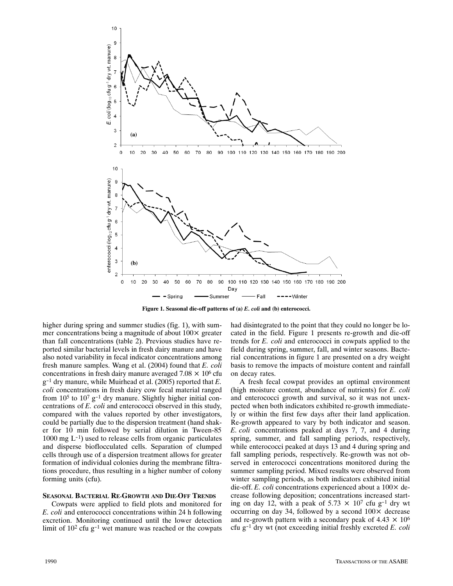

**Figure 1. Seasonal die‐off patterns of (a)** *E. coli* **and (b) enterococci.**

higher during spring and summer studies (fig. 1), with summer concentrations being a magnitude of about 100× greater than fall concentrations (table 2). Previous studies have re‐ ported similar bacterial levels in fresh dairy manure and have also noted variability in fecal indicator concentrations among fresh manure samples. Wang et al. (2004) found that *E. coli* concentrations in fresh dairy manure averaged  $7.08 \times 10^6$  cfu g-1 dry manure, while Muirhead et al. (2005) reported that *E. coli* concentrations in fresh dairy cow fecal material ranged from  $10^5$  to  $10^7$   $g^{-1}$  dry manure. Slightly higher initial concentrations of *E. coli* and enterococci observed in this study, compared with the values reported by other investigators, could be partially due to the dispersion treatment (hand shak‐ er for 10 min followed by serial dilution in Tween‐85  $1000 \text{ mg } L^{-1}$ ) used to release cells from organic particulates and disperse bioflocculated cells. Separation of clumped cells through use of a dispersion treatment allows for greater formation of individual colonies during the membrane filtrations procedure, thus resulting in a higher number of colony forming units (cfu).

#### **SEASONAL BACTERIAL RE‐GROWTH AND DIE‐OFF TRENDS**

Cowpats were applied to field plots and monitored for *E.coli* and enterococci concentrations within 24 h following excretion. Monitoring continued until the lower detection limit of  $10^2$  cfu g<sup>-1</sup> wet manure was reached or the cowpats

had disintegrated to the point that they could no longer be located in the field. Figure 1 presents re‐growth and die‐off trends for *E. coli* and enterococci in cowpats applied to the field during spring, summer, fall, and winter seasons. Bacterial concentrations in figure 1 are presented on a dry weight basis to remove the impacts of moisture content and rainfall on decay rates.

A fresh fecal cowpat provides an optimal environment (high moisture content, abundance of nutrients) for *E. coli* and enterococci growth and survival, so it was not unexpected when both indicators exhibited re‐growth immediate‐ ly or within the first few days after their land application. Re‐growth appeared to vary by both indicator and season. *E.coli* concentrations peaked at days 7, 7, and 4 during spring, summer, and fall sampling periods, respectively, while enterococci peaked at days 13 and 4 during spring and fall sampling periods, respectively. Re-growth was not observed in enterococci concentrations monitored during the summer sampling period. Mixed results were observed from winter sampling periods, as both indicators exhibited initial die-off. *E. coli* concentrations experienced about a  $100 \times$  decrease following deposition; concentrations increased start‐ ing on day 12, with a peak of 5.73  $\times$  10<sup>7</sup> cfu g<sup>-1</sup> dry wt occurring on day 34, followed by a second  $100 \times$  decrease and re-growth pattern with a secondary peak of  $4.43 \times 10^6$ cfu g-1 dry wt (not exceeding initial freshly excreted *E. coli*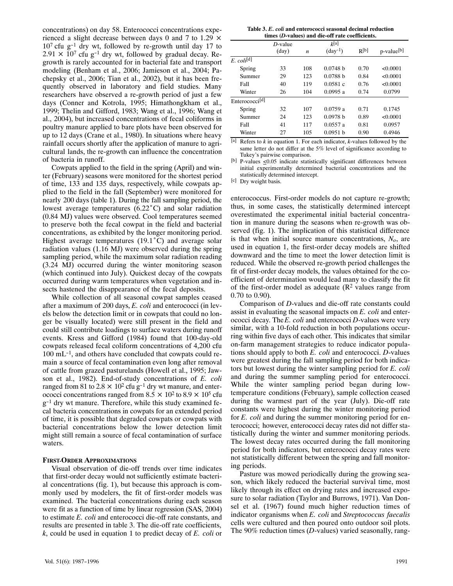concentrations) on day 58. Enterococci concentrations experienced a slight decrease between days 0 and 7 to 1.29  $\times$  $10<sup>7</sup>$  cfu g<sup>-1</sup> dry wt, followed by re-growth until day 17 to  $2.91 \times 10^{7}$  cfu g<sup>-1</sup> dry wt, followed by gradual decay. Regrowth is rarely accounted for in bacterial fate and transport modeling (Benham et al., 2006; Jamieson et al., 2004; Pachepsky et al., 2006; Tian et al., 2002), but it has been fre‐ quently observed in laboratory and field studies. Many researchers have observed a re‐growth period of just a few days (Conner and Kotrola, 1995; Himathongkham et al., 1999; Thelin and Gifford, 1983; Wang et al., 1996; Wang et al., 2004), but increased concentrations of fecal coliforms in poultry manure applied to bare plots have been observed for up to 12 days (Crane et al., 1980). In situations where heavy rainfall occurs shortly after the application of manure to agri cultural lands, the re‐growth can influence the concentration of bacteria in runoff.

Cowpats applied to the field in the spring (April) and win‐ ter (February) seasons were monitored for the shortest period of time, 133 and 135 days, respectively, while cowpats ap‐ plied to the field in the fall (September) were monitored for nearly 200 days (table 1). During the fall sampling period, the lowest average temperatures (6.22°C) and solar radiation (0.84 MJ) values were observed. Cool temperatures seemed to preserve both the fecal cowpat in the field and bacterial concentrations, as exhibited by the longer monitoring period. Highest average temperatures (19.1°C) and average solar radiation values (1.16 MJ) were observed during the spring sampling period, while the maximum solar radiation reading (3.24 MJ) occurred during the winter monitoring season (which continued into July). Quickest decay of the cowpats occurred during warm temperatures when vegetation and in‐ sects hastened the disappearance of the fecal deposits.

While collection of all seasonal cowpat samples ceased after a maximum of 200 days, *E. coli* and enterococci (in lev‐ els below the detection limit or in cowpats that could no lon‐ ger be visually located) were still present in the field and could still contribute loadings to surface waters during runoff events. Kress and Gifford (1984) found that 100‐day‐old cowpats released fecal coliform concentrations of 4,200 cfu 100 mL<sup>-1</sup>, and others have concluded that cowpats could remain a source of fecal contamination even long after removal of cattle from grazed pasturelands (Howell et al., 1995; Jaw‐ son et al., 1982). End‐of‐study concentrations of *E. coli* ranged from 81 to 2.8  $\times$  10<sup>2</sup> cfu g<sup>-1</sup> dry wt manure, and enterococci concentrations ranged from  $8.5 \times 10^2$  to  $8.9 \times 10^5$  cfu g-1 dry wt manure. Therefore, while this study examined fe‐ cal bacteria concentrations in cowpats for an extended period of time, it is possible that degraded cowpats or cowpats with bacterial concentrations below the lower detection limit might still remain a source of fecal contamination of surface waters.

#### **FIRST‐ORDER APPROXIMATIONS**

Visual observation of die‐off trends over time indicates that first‐order decay would not sufficiently estimate bacteri‐ al concentrations (fig. 1), but because this approach is com‐ monly used by modelers, the fit of first-order models was examined. The bacterial concentrations during each season were fit as a function of time by linear regression (SAS, 2004) to estimate *E. coli* and enterococci die‐off rate constants, and results are presented in table 3. The die‐off rate coefficients, *k*, could be used in equation 1 to predict decay of *E. coli* or

| times (D-values) and die-off rate coefficients. |                              |                  |                             |           |                        |  |  |  |  |
|-------------------------------------------------|------------------------------|------------------|-----------------------------|-----------|------------------------|--|--|--|--|
|                                                 | $D$ -value<br>$\text{(day)}$ | $\boldsymbol{n}$ | k[a]<br>$(\text{day}^{-1})$ | $R^{[b]}$ | p-value <sup>[b]</sup> |  |  |  |  |
| $E.$ coli <sup>[d]</sup>                        |                              |                  |                             |           |                        |  |  |  |  |
| Spring                                          | 33                           | 108              | 0.0748 h                    | 0.70      | < 0.0001               |  |  |  |  |
| Summer                                          | 29                           | 123              | 0.0788h                     | 0.84      | < 0.0001               |  |  |  |  |
| Fall                                            | 40                           | 119              | 0.0581c                     | 0.76      | < 0.0001               |  |  |  |  |
| Winter                                          | 26                           | 104              | 0.0995a                     | 0.74      | 0.0799                 |  |  |  |  |
| Enterococci <sup>[d]</sup>                      |                              |                  |                             |           |                        |  |  |  |  |
| Spring                                          | 32                           | 107              | 0.0759a                     | 0.71      | 0.1745                 |  |  |  |  |
| Summer                                          | 24                           | 123              | 0.0978 h                    | 0.89      | < 0.0001               |  |  |  |  |
| Fall                                            | 41                           | 117              | 0.0557a                     | 0.81      | 0.0957                 |  |  |  |  |
| Winter<br>--                                    | 27                           | 105              | 0.0951 h                    | 0.90      | 0.4946                 |  |  |  |  |

 $\lbrack a \rbrack$  Refers to *k* in equation 1. For each indicator, *k*-values followed by the same letter do not differ at the 5% level of significance according to Tukey's pairwise comparison.

[b] P-values  $\leq 0.05$  indicate statistically significant differences between initial experimentally determined bacterial concentrations and the statistically determined intercept.

[c] Dry weight basis.

enterococcus. First-order models do not capture re-growth; thus, in some cases, the statistically determined intercept overestimated the experimental initial bacterial concentra‐ tion in manure during the seasons when re‐growth was ob‐ served (fig. 1). The implication of this statistical difference is that when initial source manure concentrations,  $N<sub>o</sub>$ , are used in equation 1, the first-order decay models are shifted downward and the time to meet the lower detection limit is reduced. While the observed re‐growth period challenges the fit of first-order decay models, the values obtained for the coefficient of determination would lead many to classify the fit of the first-order model as adequate  $(R^2 \text{ values range from})$ 0.70 to 0.90).

Comparison of *D*-values and die-off rate constants could assist in evaluating the seasonal impacts on *E. coli* and enter‐ ococci decay. The *E. coli* and enterococci *D*‐values were very similar, with a 10-fold reduction in both populations occurring within five days of each other. This indicates that similar on‐farm management strategies to reduce indicator popula‐ tions should apply to both *E. coli* and enterococci. *D*‐values were greatest during the fall sampling period for both indicators but lowest during the winter sampling period for *E. coli* and during the summer sampling period for enterococci. While the winter sampling period began during lowtemperature conditions (February), sample collection ceased during the warmest part of the year (July). Die‐off rate constants were highest during the winter monitoring period for *E. coli* and during the summer monitoring period for enterococci; however, enterococci decay rates did not differ sta‐ tistically during the winter and summer monitoring periods. The lowest decay rates occurred during the fall monitoring period for both indicators, but enterococci decay rates were not statistically different between the spring and fall monitor‐ ing periods.

Pasture was mowed periodically during the growing sea‐ son, which likely reduced the bacterial survival time, most likely through its effect on drying rates and increased exposure to solar radiation (Taylor and Burrows, 1971). Van Donsel et al. (1967) found much higher reduction times of indicator organisms when *E. coli* and *Streptococcus faecalis* cells were cultured and then poured onto outdoor soil plots. The 90% reduction times (*D*-values) varied seasonally, rang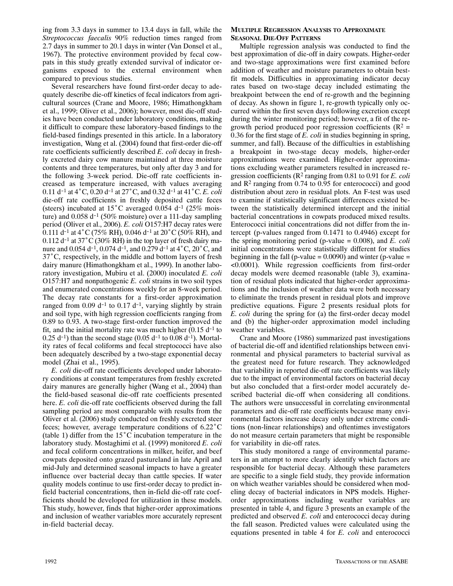ing from 3.3 days in summer to 13.4 days in fall, while the *Streptococcus faecalis* 90% reduction times ranged from 2.7days in summer to 20.1 days in winter (Van Donsel et al., 1967). The protective environment provided by fecal cow‐ pats in this study greatly extended survival of indicator or‐ ganisms exposed to the external environment when compared to previous studies.

Several researchers have found first-order decay to adequately describe die‐off kinetics of fecal indicators from agri‐ cultural sources (Crane and Moore, 1986; Himathongkham et al., 1999; Oliver et al., 2006); however, most die‐off stud‐ ies have been conducted under laboratory conditions, making it difficult to compare these laboratory‐based findings to the field‐based findings presented in this article. In a laboratory investigation, Wang et al. (2004) found that first-order die-off rate coefficients sufficiently described *E. coli* decay in freshly excreted dairy cow manure maintained at three moisture contents and three temperatures, but only after day 3 and for the following 3‐week period. Die‐off rate coefficients in‐ creased as temperature increased, with values averaging 0.11d-1 at 4°C, 0.20 d-1 at 27°C, and 0.32 d-1 at 41°C. *E. coli* die‐off rate coefficients in freshly deposited cattle feces (steers) incubated at  $15^{\circ}$ C averaged 0.054 d<sup>-1</sup> (25% moisture) and  $0.058$  d<sup>-1</sup> (50% moisture) over a 111-day sampling period (Oliver et al., 2006). *E. coli* O157:H7 decay rates were 0.111 d<sup>-1</sup> at 4 °C (75% RH), 0.046 d<sup>-1</sup> at 20 °C (50% RH), and  $0.112$  d<sup>-1</sup> at 37°C (30% RH) in the top layer of fresh dairy manure and 0.054 d<sup>-1</sup>, 0.074 d<sup>-1</sup>, and 0.279 d<sup>-1</sup> at 4 °C, 20 °C, and 37°C, respectively, in the middle and bottom layers of fresh dairy manure (Himathongkham et al., 1999). In another labo‐ ratory investigation, Mubiru et al. (2000) inoculated *E. coli* O157:H7 and nonpathogenic *E. coli* strains in two soil types and enumerated concentrations weekly for an 8‐week period. The decay rate constants for a first-order approximation ranged from  $0.09$  d<sup>-1</sup> to  $0.17$  d<sup>-1</sup>, varying slightly by strain and soil type, with high regression coefficients ranging from 0.89 to 0.93. A two‐stage first‐order function improved the fit, and the initial mortality rate was much higher  $(0.15 d<sup>-1</sup>$  to  $0.25$  d<sup>-1</sup>) than the second stage  $(0.05$  d<sup>-1</sup> to  $0.08$  d<sup>-1</sup>). Mortality rates of fecal coliforms and fecal streptococci have also been adequately described by a two‐stage exponential decay model (Zhai et al., 1995).

*E. coli* die‐off rate coefficients developed under laborato‐ ry conditions at constant temperatures from freshly excreted dairy manures are generally higher (Wang et al., 2004) than the field‐based seasonal die‐off rate coefficients presented here. *E. coli* die-off rate coefficients observed during the fall sampling period are most comparable with results from the Oliver et al. (2006) study conducted on freshly excreted steer feces; however, average temperature conditions of 6.22°C (table 1) differ from the 15°C incubation temperature in the laboratory study. Mostaghimi et al. (1999) monitored *E. coli* and fecal coliform concentrations in milker, heifer, and beef cowpats deposited onto grazed pastureland in late April and mid‐July and determined seasonal impacts to have a greater influence over bacterial decay than cattle species. If water quality models continue to use first‐order decay to predict in‐ field bacterial concentrations, then in‐field die‐off rate coef‐ ficients should be developed for utilization in these models. This study, however, finds that higher‐order approximations and inclusion of weather variables more accurately represent in‐field bacterial decay.

#### **MULTIPLE REGRESSION ANALYSIS TO APPROXIMATE SEASONAL DIE‐OFF PATTERNS**

Multiple regression analysis was conducted to find the best approximation of die‐off in dairy cowpats. Higher‐order and two‐stage approximations were first examined before addition of weather and moisture parameters to obtain best‐ fit models. Difficulties in approximating indicator decay rates based on two‐stage decay included estimating the breakpoint between the end of re‐growth and the beginning of decay. As shown in figure 1, re‐growth typically only oc‐ curred within the first seven days following excretion except during the winter monitoring period; however, a fit of the regrowth period produced poor regression coefficients ( $\mathbb{R}^2$  = 0.36 for the first stage of *E. coli* in studies beginning in spring, summer, and fall). Because of the difficulties in establishing a breakpoint in two‐stage decay models, higher‐order approximations were examined. Higher‐order approxima‐ tions excluding weather parameters resulted in increased re‐ gression coefficients (R2 ranging from 0.81 to 0.91 for *E. coli* and  $\mathbb{R}^2$  ranging from 0.74 to 0.95 for enterococci) and good distribution about zero in residual plots. An F‐test was used to examine if statistically significant differences existed be‐ tween the statistically determined intercept and the initial bacterial concentrations in cowpats produced mixed results. Enterococci initial concentrations did not differ from the in‐ tercept (p-values ranged from 0.1471 to 0.4946) except for the spring monitoring period (p‐value = 0.008), and *E. coli* initial concentrations were statistically different for studies beginning in the fall (p-value =  $0.0090$ ) and winter (p-value = <0.0001). While regression coefficients from first‐order decay models were deemed reasonable (table 3), examina‐ tion of residual plots indicated that higher‐order approxima‐ tions and the inclusion of weather data were both necessary to eliminate the trends present in residual plots and improve predictive equations. Figure 2 presents residual plots for *E. coli* during the spring for (a) the first-order decay model and (b) the higher‐order approximation model including weather variables.

Crane and Moore (1986) summarized past investigations of bacterial die‐off and identified relationships between envi‐ ronmental and physical parameters to bacterial survival as the greatest need for future research. They acknowledged that variability in reported die‐off rate coefficients was likely due to the impact of environmental factors on bacterial decay but also concluded that a first-order model accurately described bacterial die‐off when considering all conditions. The authors were unsuccessful in correlating environmental parameters and die-off rate coefficients because many environmental factors increase decay only under extreme condi‐ tions (non‐linear relationships) and oftentimes investigators do not measure certain parameters that might be responsible for variability in die‐off rates.

This study monitored a range of environmental parame‐ ters in an attempt to more clearly identify which factors are responsible for bacterial decay. Although these parameters are specific to a single field study, they provide information on which weather variables should be considered when mod‐ eling decay of bacterial indicators in NPS models. Higher‐ order approximations including weather variables are presented in table 4, and figure 3 presents an example of the predicted and observed *E. coli* and enterococci decay during the fall season. Predicted values were calculated using the equations presented in table 4 for *E. coli* and enterococci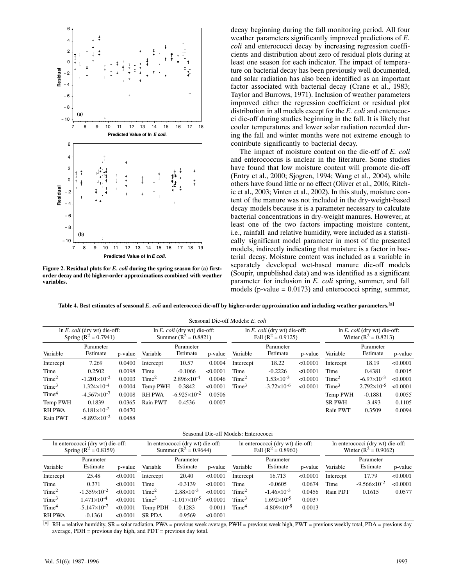

**Figure 2. Residual plots for** *E. coli* **during the spring season for (a) first‐ order decay and (b) higher‐order approximations combined with weather variables.**

decay beginning during the fall monitoring period. All four weather parameters significantly improved predictions of *E. coli* and enterococci decay by increasing regression coefficients and distribution about zero of residual plots during at least one season for each indicator. The impact of tempera‐ ture on bacterial decay has been previously well documented, and solar radiation has also been identified as an important factor associated with bacterial decay (Crane et al., 1983; Taylor and Burrows, 1971). Inclusion of weather parameters improved either the regression coefficient or residual plot distribution in all models except for the *E. coli* and enterococ‐ ci die‐off during studies beginning in the fall. It is likely that cooler temperatures and lower solar radiation recorded dur‐ ing the fall and winter months were not extreme enough to contribute significantly to bacterial decay.

The impact of moisture content on the die‐off of *E. coli* and enterococcus is unclear in the literature. Some studies have found that low moisture content will promote die-off (Entry et al., 2000; Sjogren, 1994; Wang et al., 2004), while others have found little or no effect (Oliver et al., 2006; Ritch‐ ie et al., 2003; Vinten et al., 2002). In this study, moisture content of the manure was not included in the dry‐weight‐based decay models because it is a parameter necessary to calculate bacterial concentrations in dry‐weight manures. However, at least one of the two factors impacting moisture content, i.e., rainfall and relative humidity, were included as a statistically significant model parameter in most of the presented models, indirectly indicating that moisture is a factor in bacterial decay. Moisture content was included as a variable in separately developed wet‐based manure die‐off models (Soupir, unpublished data) and was identified as a significant parameter for inclusion in *E. coli* spring, summer, and fall models ( $p$ -value = 0.0173) and enterococci spring, summer,

**Table 4. Best estimates of seasonal** *E. coli* **and enterococci die‐off by higher‐order approximation and including weather parameters.[a]**

| Seasonal Die-off Models: E. coli                                     |                       |                                                                      |                   |                       |                                                                  |                   |                       |                                                                    |                   |                       |          |
|----------------------------------------------------------------------|-----------------------|----------------------------------------------------------------------|-------------------|-----------------------|------------------------------------------------------------------|-------------------|-----------------------|--------------------------------------------------------------------|-------------------|-----------------------|----------|
| $\ln E$ . <i>coli</i> (dry wt) die-off:<br>Spring ( $R^2 = 0.7941$ ) |                       | $\ln E$ . <i>coli</i> (dry wt) die-off:<br>Summer ( $R^2 = 0.8821$ ) |                   |                       | $\ln E$ . <i>coli</i> (dry wt) die-off:<br>Fall $(R^2 = 0.9125)$ |                   |                       | $\ln E$ . <i>coli</i> (dry wt) die-off:<br>Winter $(R^2 = 0.8213)$ |                   |                       |          |
| Variable                                                             | Parameter<br>Estimate | p-value                                                              | Variable          | Parameter<br>Estimate | p-value                                                          | Variable          | Parameter<br>Estimate | p-value                                                            | Variable          | Parameter<br>Estimate | p-value  |
| Intercept                                                            | 7.269                 | 0.0400                                                               | Intercept         | 10.57                 | 0.0004                                                           | Intercept         | 18.22                 | < 0.0001                                                           | Intercept         | 18.19                 | < 0.0001 |
| Time                                                                 | 0.2502                | 0.0098                                                               | Time              | $-0.1066$             | < 0.0001                                                         | Time              | $-0.2226$             | < 0.0001                                                           | Time              | 0.4381                | 0.0015   |
| Time <sup>2</sup>                                                    | $-1.201\times10^{-2}$ | 0.0003                                                               | Time <sup>2</sup> | $2.896\times10^{-4}$  | 0.0046                                                           | Time <sup>2</sup> | $1.53\times10^{-3}$   | < 0.0001                                                           | Time <sup>2</sup> | $-6.97\times10^{-3}$  | < 0.0001 |
| Time <sup>3</sup>                                                    | $1.324\times10^{-4}$  | 0.0004                                                               | Temp PWH          | 0.3842                | < 0.0001                                                         | Time <sup>3</sup> | $-3.72\times10^{-6}$  | < 0.0001                                                           | Time <sup>3</sup> | $2.792\times10^{-5}$  | < 0.0001 |
| Time <sup>4</sup>                                                    | $-4.567\times10^{-7}$ | 0.0008                                                               | <b>RH PWA</b>     | $-6.925\times10^{-2}$ | 0.0506                                                           |                   |                       |                                                                    | Temp PWH          | $-0.1881$             | 0.0055   |
| Temp PWH                                                             | 0.1839                | 0.0365                                                               | Rain PWT          | 0.4536                | 0.0007                                                           |                   |                       |                                                                    | <b>SR PWH</b>     | $-3.493$              | 0.1105   |
| <b>RH PWA</b>                                                        | $6.181\times10^{-2}$  | 0.0470                                                               |                   |                       |                                                                  |                   |                       |                                                                    | Rain PWT          | 0.3509                | 0.0094   |
| Rain PWT                                                             | $-8.893\times10^{-2}$ | 0.0488                                                               |                   |                       |                                                                  |                   |                       |                                                                    |                   |                       |          |

Seasonal Die‐off Models: Enterococci

| In enterococci (dry wt) die-off:<br>Spring ( $R^2 = 0.8159$ ) |                       |          | In enterococci (dry wt) die-off:<br>Summer ( $R^2 = 0.9644$ ) |                       |          | In enterococci (dry wt) die-off:<br>Fall $(R^2 = 0.8960)$ |                       |          | In enterococci (dry wt) die-off:<br>Winter $(R^2 = 0.9062)$ |                       |          |
|---------------------------------------------------------------|-----------------------|----------|---------------------------------------------------------------|-----------------------|----------|-----------------------------------------------------------|-----------------------|----------|-------------------------------------------------------------|-----------------------|----------|
| Variable                                                      | Parameter<br>Estimate | p-value  | Variable                                                      | Parameter<br>Estimate | p-value  | Variable                                                  | Parameter<br>Estimate | p-value  | Variable                                                    | Parameter<br>Estimate | p-value  |
| Intercept                                                     | 25.48                 | < 0.0001 | Intercept                                                     | 20.40                 | < 0.0001 | Intercept                                                 | 16.713                | < 0.0001 | Intercept                                                   | 17.79                 | < 0.0001 |
| Time                                                          | 0.371                 | < 0.0001 | Time                                                          | $-0.3139$             | < 0.0001 | Time                                                      | $-0.0605$             | 0.0674   | Time                                                        | $-9.566\times10^{-2}$ | < 0.0001 |
| Time <sup>2</sup>                                             | $-1.359\times10^{-2}$ | < 0.0001 | Time <sup>2</sup>                                             | $2.88\times10^{-3}$   | < 0.0001 | Time <sup>2</sup>                                         | $-1.46\times10^{-3}$  | 0.0456   | Rain PDT                                                    | 0.1615                | 0.0577   |
| Time <sup>3</sup>                                             | $1.471\times10^{-4}$  | < 0.0001 | Time <sup>3</sup>                                             | $-1.017\times10^{-5}$ | < 0.0001 | Time <sup>3</sup>                                         | $1.692\times10^{-5}$  | 0.0037   |                                                             |                       |          |
| Time <sup>4</sup>                                             | $-5.147\times10^{-7}$ | < 0.0001 | Temp PDH                                                      | 0.1283                | 0.0011   | Time <sup>4</sup>                                         | $-4.809\times10^{-8}$ | 0.0013   |                                                             |                       |          |
| <b>RH PWA</b>                                                 | $-0.1361$             | < 0.0001 | <b>SR PDA</b>                                                 | $-0.9569$             | < 0.0001 |                                                           |                       |          |                                                             |                       |          |

[a] RH = relative humidity, SR = solar radiation, PWA = previous week average, PWH = previous week high, PWT = previous weekly total, PDA = previous day average, PDH = previous day high, and PDT = previous day total.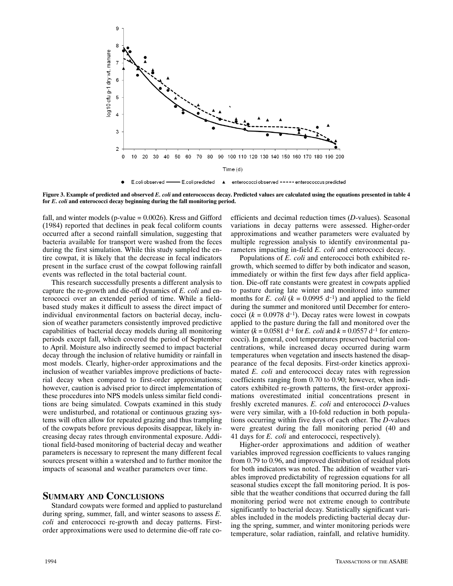

**Figure 3. Example of predicted and observed** *E. coli* **and enterococcus decay. Predicted values are calculated using the equations presented in table 4 for** *E. coli* **and enterococci decay beginning during the fall monitoring period.**

fall, and winter models (p-value  $= 0.0026$ ). Kress and Gifford (1984) reported that declines in peak fecal coliform counts occurred after a second rainfall simulation, suggesting that bacteria available for transport were washed from the feces during the first simulation. While this study sampled the entire cowpat, it is likely that the decrease in fecal indicators present in the surface crust of the cowpat following rainfall events was reflected in the total bacterial count.

This research successfully presents a different analysis to capture the re‐growth and die‐off dynamics of *E. coli* and en‐ terococci over an extended period of time. While a field‐ based study makes it difficult to assess the direct impact of individual environmental factors on bacterial decay, inclusion of weather parameters consistently improved predictive capabilities of bacterial decay models during all monitoring periods except fall, which covered the period of September to April. Moisture also indirectly seemed to impact bacterial decay through the inclusion of relative humidity or rainfall in most models. Clearly, higher‐order approximations and the inclusion of weather variables improve predictions of bacte‐ rial decay when compared to first‐order approximations; however, caution is advised prior to direct implementation of these procedures into NPS models unless similar field condi‐ tions are being simulated. Cowpats examined in this study were undisturbed, and rotational or continuous grazing systems will often allow for repeated grazing and thus trampling of the cowpats before previous deposits disappear, likely in‐ creasing decay rates through environmental exposure. Addi‐ tional field‐based monitoring of bacterial decay and weather parameters is necessary to represent the many different fecal sources present within a watershed and to further monitor the impacts of seasonal and weather parameters over time.

## **SUMMARY AND CONCLUSIONS**

Standard cowpats were formed and applied to pastureland during spring, summer, fall, and winter seasons to assess *E. coli* and enterococci re-growth and decay patterns. Firstorder approximations were used to determine die‐off rate co‐ efficients and decimal reduction times (*D*‐values). Seasonal variations in decay patterns were assessed. Higher‐order approximations and weather parameters were evaluated by multiple regression analysis to identify environmental parameters impacting in‐field *E. coli* and enterococci decay.

Populations of *E. coli* and enterococci both exhibited regrowth, which seemed to differ by both indicator and season, immediately or within the first few days after field application. Die‐off rate constants were greatest in cowpats applied to pasture during late winter and monitored into summer months for *E. coli*  $(k = 0.0995 d^{-1})$  and applied to the field during the summer and monitored until December for enterococci  $(k = 0.0978 d^{-1})$ . Decay rates were lowest in cowpats applied to the pasture during the fall and monitored over the winter  $(k = 0.0581 d^{-1}$  for *E. coli* and  $k = 0.0557 d^{-1}$  for enterococci). In general, cool temperatures preserved bacterial concentrations, while increased decay occurred during warm temperatures when vegetation and insects hastened the disap‐ pearance of the fecal deposits. First-order kinetics approximated *E. coli* and enterococci decay rates with regression coefficients ranging from 0.70 to 0.90; however, when indi‐ cators exhibited re‐growth patterns, the first‐order approxi‐ mations overestimated initial concentrations present in freshly excreted manures. *E. coli* and enterococci *D*‐values were very similar, with a 10-fold reduction in both populations occurring within five days of each other. The *D*‐values were greatest during the fall monitoring period (40 and 41days for *E. coli* and enterococci, respectively).

Higher‐order approximations and addition of weather variables improved regression coefficients to values ranging from 0.79 to 0.96, and improved distribution of residual plots for both indicators was noted. The addition of weather variables improved predictability of regression equations for all seasonal studies except the fall monitoring period. It is possible that the weather conditions that occurred during the fall monitoring period were not extreme enough to contribute significantly to bacterial decay. Statistically significant vari‐ ables included in the models predicting bacterial decay dur‐ ing the spring, summer, and winter monitoring periods were temperature, solar radiation, rainfall, and relative humidity.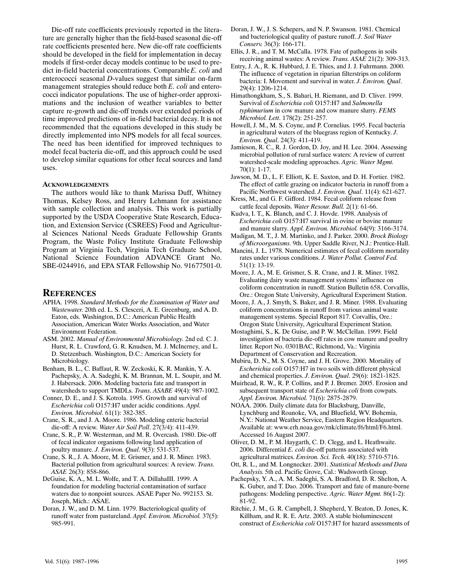Die-off rate coefficients previously reported in the literature are generally higher than the field‐based seasonal die‐off rate coefficients presented here. New die‐off rate coefficients should be developed in the field for implementation in decay models if first-order decay models continue to be used to predict in‐field bacterial concentrations. Comparable *E. coli* and enterococci seasonal *D*-values suggest that similar on-farm management strategies should reduce both *E. coli* and enterococci indicator populations. The use of higher‐order approxi‐ mations and the inclusion of weather variables to better capture re‐growth and die‐off trends over extended periods of time improved predictions of in‐field bacterial decay. It is not recommended that the equations developed in this study be directly implemented into NPS models for all fecal sources. The need has been identified for improved techniques to model fecal bacteria die‐off, and this approach could be used to develop similar equations for other fecal sources and land uses.

#### **ACKNOWLEDGEMENTS**

The authors would like to thank Marissa Duff, Whitney Thomas, Kelsey Ross, and Henry Lehmann for assistance with sample collection and analysis. This work is partially supported by the USDA Cooperative State Research, Education, and Extension Service (CSREES) Food and Agricultur‐ al Sciences National Needs Graduate Fellowship Grants Program, the Waste Policy Institute Graduate Fellowship Program at Virginia Tech, Virginia Tech Graduate School, National Science Foundation ADVANCE Grant No. SBE‐0244916, and EPA STAR Fellowship No. 91677501‐0.

## **REFERENCES**

- APHA. 1998. *Standard Methods for the Examination of Water and Wastewater*. 20th ed. L. S. Clesceri, A. E. Greenburg, and A. D. Eaton, eds. Washington, D.C.: American Public Health Association, American Water Works Association, and Water Environment Federation.
- ASM. 2002. *Manual of Environmental Microbiology*. 2nd ed. C. J. Hurst, R. L. Crawford, G. R. Knudsen, M. J. McInerney, and L. D. Stetzenbach. Washington, D.C.: American Society for Microbiology.
- Benham, B. L., C. Baffaut, R. W. Zeckoski, K. R. Mankin, Y. A. Pachepsky, A. A. Sadeghi, K. M. Brannan, M. L. Soupir, and M. J. Habersack. 2006. Modeling bacteria fate and transport in watersheds to support TMDLs. *Trans. ASABE* 49(4): 987‐1002.
- Conner, D. E., and J. S. Kotrola. 1995. Growth and survival of *Escherichia coli* O157:H7 under acidic conditions. *Appl. Environ. Microbiol*. 61(1): 382‐385.
- Crane, S. R., and J. A. Moore. 1986. Modeling enteric bacterial die‐off: A review. *Water Air Soil Poll*. 27(3/4): 411‐439.
- Crane, S. R., P. W. Westerman, and M. R. Overcash. 1980. Die‐off of fecal indicator organisms following land application of poultry manure. *J. Environ. Qual*. 9(3): 531‐537.
- Crane, S. R., J. A. Moore, M. E. Grismer, and J. R. Miner. 1983. Bacterial pollution from agricultural sources: A review. *Trans. ASAE* 26(3): 858‐866.
- DeGuise, K. A., M. L. Wolfe, and T. A. DillahaIII. 1999. A foundation for modeling bacterial contamination of surface waters due to nonpoint sources. ASAE Paper No. 992153. St. Joseph, Mich.: ASAE.
- Doran, J. W., and D. M. Linn. 1979. Bacteriological quality of runoff water from pastureland. *Appl. Environ. Microbiol.* 37(5): 985‐991.
- Doran, J. W., J. S. Schepers, and N. P. Swanson. 1981. Chemical and bacteriological quality of pasture runoff. *J. Soil Water Conserv.* 36(3): 166‐171.
- Ellis, J. R., and T. M. McCalla. 1978. Fate of pathogens in soils receiving animal wastes: A review. *Trans. ASAE* 21(2): 309‐313.
- Entry, J. A., R. K. Hubbard, J. E. Thies, and J. J. Fuhrmann. 2000. The influence of vegetation in riparian filterstrips on coliform bacteria: I. Movement and survival in water. *J. Environ. Qual*. 29(4): 1206‐1214.
- Himathongkham, S., S. Bahari, H. Riemann, and D. Cliver. 1999. Survival of *Escherichia coli* O157:H7 and *Salmonella typhimurium* in cow manure and cow manure slurry. *FEMS Microbiol. Lett*. 178(2): 251‐257.
- Howell, J. M., M. S. Coyne, and P. Cornelius. 1995. Fecal bacteria in agricultural waters of the bluegrass region of Kentucky. *J. Environ. Qual*. 24(3): 411‐419.
- Jamieson, R. C., R. J. Gordon, D. Joy, and H. Lee. 2004. Assessing microbial pollution of rural surface waters: A review of current watershed‐scale modeling approaches. *Agric. Water Mgmt.* 70(1): 1‐17.
- Jawson, M. D., L. F. Elliott, K. E. Saxton, and D. H. Fortier. 1982. The effect of cattle grazing on indicator bacteria in runoff from a Pacific Northwest watershed. *J. Environ. Qual*. 11(4): 621‐627.
- Kress, M., and G. F. Gifford. 1984. Fecal coliform release from cattle fecal deposits. *Water Resour. Bull.* 2(1): 61‐66.
- Kudva, I. T., K. Blanch, and C. J. Hovde. 1998. Analysis of *Escherichia coli* O157:H7 survival in ovine or bovine manure and manure slurry. *Appl. Environ. Microbiol.* 64(9): 3166‐3174.
- Madigan, M. T., J. M. Martinko, and J. Parker. 2000. *Brock Biology of Microorganisms*. 9th. Upper Saddle River, N.J.: Prentice‐Hall.
- Mancini, J. L. 1978. Numerical estimates of fecal coliform mortality rates under various conditions. *J. Water Pollut. Control Fed.* 51(1): 13‐19.
- Moore, J. A., M. E. Grismer, S. R. Crane, and J. R. Miner. 1982. Evaluating dairy waste management systems' influence on coliform concentration in runoff. Station Bulletin 658. Corvallis, Ore.: Oregon State University, Agricultural Experiment Station.
- Moore, J. A., J. Smyth, S. Baker, and J. R. Miner. 1988. Evaluating coliform concentrations in runoff from various animal waste management systems. Special Report 817. Corvallis, Ore.: Oregon State University, Agricultural Experiment Station.
- Mostaghimi, S., K. De Guise, and P. W. McClellan. 1999. Field investigation of bacteria die‐off rates in cow manure and poultry litter. Report No. 0301BAC, Richmond, Va.: Virginia Department of Conservation and Recreation.
- Mubiru, D. N., M. S. Coyne, and J. H. Grove. 2000. Mortality of *Escherichia coli* O157:H7 in two soils with different physical and chemical properties. *J. Environ. Qual*. 29(6): 1821‐1825.
- Muirhead, R. W., R. P. Collins, and P. J. Bremer. 2005. Erosion and subsequent transport state of *Escherichia coli* from cowpats. *Appl. Environ. Microbiol.* 71(6): 2875‐2879.
- NOAA. 2006. Daily climate data for Blacksburg, Danville, Lynchburg and Roanoke, VA, and Bluefield, WV. Bohemia, N.Y.: National Weather Service, Eastern Region Headquarters. Available at: www.erh.noaa.gov/rnk/climate/f6/html/F6.html. Accessed 16 August 2007.
- Oliver, D. M., P. M. Haygarth, C. D. Clegg, and L. Heathwaite. 2006. Differential *E. coli* die‐off patterns associated with agricultural matrices. *Environ. Sci. Tech.* 40(18): 5710‐5716.
- Ott, R. L., and M. Longnecker. 2001. *Statistical Methods and Data Analysis*. 5th ed. Pacific Grove, Cal.: Wadsworth Group.
- Pachepsky, Y. A., A. M. Sadeghi, S. A. Bradford, D. R. Shelton, A. K. Guber, and T. Dao. 2006. Transport and fate of manure-borne pathogens: Modeling perspective. *Agric. Water Mgmt.* 86(1‐2): 81‐92.
- Ritchie, J. M., G. R. Campbell, J. Shepherd, Y. Beaton, D. Jones, K. Killham, and R. R. E. Artz. 2003. A stable bioluminescent construct of *Escherichia coli* O157:H7 for hazard assessments of